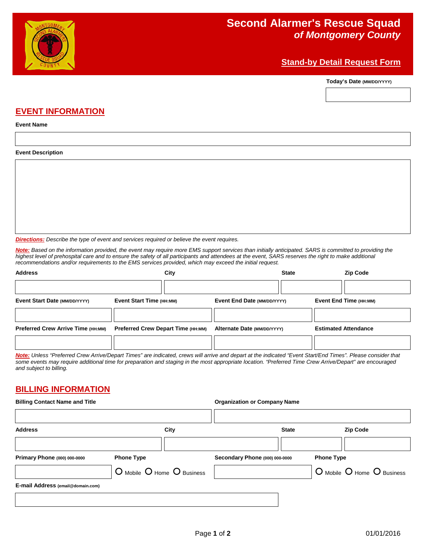

### **Stand-by Detail Request Form**

**Today's Date (MM/DD/YYYY)**



# **EVENT INFORMATION**

**Event Name**

#### **Event Description**

*Directions: Describe the type of event and services required or believe the event requires.*

*Note: Based on the information provided, the event may require more EMS support services than initially anticipated. SARS is committed to providing the highest level of prehospital care and to ensure the safety of all participants and attendees at the event, SARS reserves the right to make additional recommendations and/or requirements to the EMS services provided, which may exceed the initial request.*

| <b>Address</b>                                                                                                                                                                                                                                                                                                           |                                           | City |                             | <b>State</b> |                             | <b>Zip Code</b>        |
|--------------------------------------------------------------------------------------------------------------------------------------------------------------------------------------------------------------------------------------------------------------------------------------------------------------------------|-------------------------------------------|------|-----------------------------|--------------|-----------------------------|------------------------|
|                                                                                                                                                                                                                                                                                                                          |                                           |      |                             |              |                             |                        |
| Event Start Date (MM/DD/YYYY)                                                                                                                                                                                                                                                                                            | Event Start Time (HH:MM)                  |      | Event End Date (MM/DD/YYYY) |              |                             | Event End Time (HH:MM) |
|                                                                                                                                                                                                                                                                                                                          |                                           |      |                             |              |                             |                        |
| <b>Preferred Crew Arrive Time (HH:MM)</b>                                                                                                                                                                                                                                                                                | <b>Preferred Crew Depart Time (HH:MM)</b> |      | Alternate Date (MM/DD/YYYY) |              | <b>Estimated Attendance</b> |                        |
|                                                                                                                                                                                                                                                                                                                          |                                           |      |                             |              |                             |                        |
| Note: Unless "Preferred Crew Arrive/Depart Times" are indicated, crews will arrive and depart at the indicated "Event Start/End Times". Please consider that<br>some events may require additional time for preparation and staging in the most appropriate location. "Preferred Time Crew Arrive/Depart" are encouraged |                                           |      |                             |              |                             |                        |

### **BILLING INFORMATION**

*and subject to billing.*

| <b>Billing Contact Name and Title</b> |                            |      | <b>Organization or Company Name</b> |              |                            |                 |
|---------------------------------------|----------------------------|------|-------------------------------------|--------------|----------------------------|-----------------|
| <b>Address</b>                        |                            | City |                                     | <b>State</b> |                            | <b>Zip Code</b> |
| Primary Phone (000) 000-0000          | <b>Phone Type</b>          |      | Secondary Phone (000) 000-0000      |              | <b>Phone Type</b>          |                 |
|                                       | O Mobile O Home O Business |      |                                     |              | O Mobile O Home O Business |                 |
| E-mail Address (email@domain.com)     |                            |      |                                     |              |                            |                 |
|                                       |                            |      |                                     |              |                            |                 |